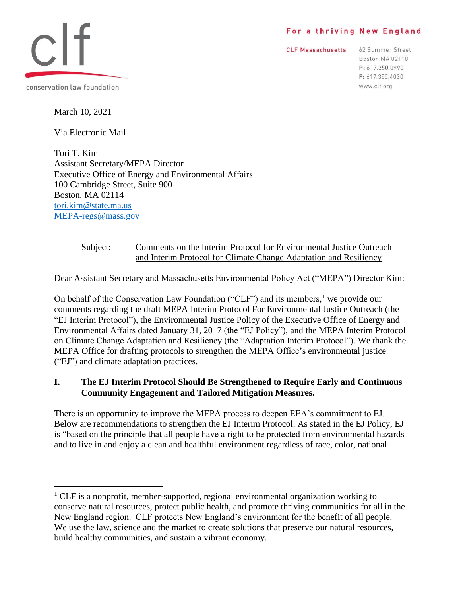### For a thriving New England

**CLF Massachusetts** 

62 Summer Street Boston MA 02110 P: 617.350.0990 F: 617.350.4030 www.clf.org



March 10, 2021

Via Electronic Mail

Tori T. Kim Assistant Secretary/MEPA Director Executive Office of Energy and Environmental Affairs 100 Cambridge Street, Suite 900 Boston, MA 02114 [tori.kim@state.ma.us](mailto:tori.kim@state.ma.us) [MEPA-regs@mass.gov](mailto:MEPA-regs@mass.gov)

### Subject: Comments on the Interim Protocol for Environmental Justice Outreach and Interim Protocol for Climate Change Adaptation and Resiliency

Dear Assistant Secretary and Massachusetts Environmental Policy Act ("MEPA") Director Kim:

On behalf of the Conservation Law Foundation ("CLF") and its members,<sup>1</sup> we provide our comments regarding the draft MEPA Interim Protocol For Environmental Justice Outreach (the "EJ Interim Protocol"), the Environmental Justice Policy of the Executive Office of Energy and Environmental Affairs dated January 31, 2017 (the "EJ Policy"), and the MEPA Interim Protocol on Climate Change Adaptation and Resiliency (the "Adaptation Interim Protocol"). We thank the MEPA Office for drafting protocols to strengthen the MEPA Office's environmental justice ("EJ") and climate adaptation practices.

# **I. The EJ Interim Protocol Should Be Strengthened to Require Early and Continuous Community Engagement and Tailored Mitigation Measures.**

There is an opportunity to improve the MEPA process to deepen EEA's commitment to EJ. Below are recommendations to strengthen the EJ Interim Protocol. As stated in the EJ Policy, EJ is "based on the principle that all people have a right to be protected from environmental hazards and to live in and enjoy a clean and healthful environment regardless of race, color, national

 $1$  CLF is a nonprofit, member-supported, regional environmental organization working to conserve natural resources, protect public health, and promote thriving communities for all in the New England region. CLF protects New England's environment for the benefit of all people. We use the law, science and the market to create solutions that preserve our natural resources, build healthy communities, and sustain a vibrant economy.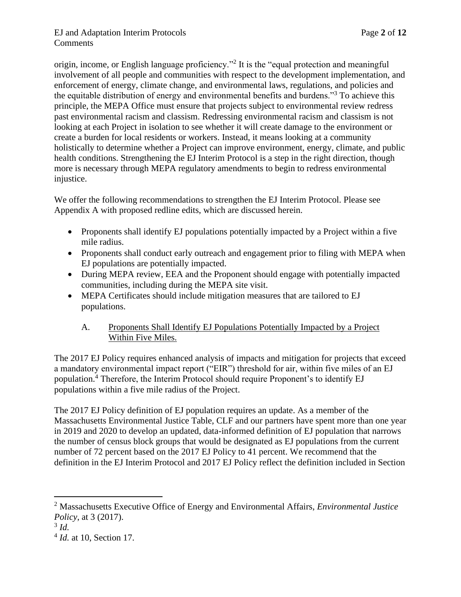origin, income, or English language proficiency."<sup>2</sup> It is the "equal protection and meaningful involvement of all people and communities with respect to the development implementation, and enforcement of energy, climate change, and environmental laws, regulations, and policies and the equitable distribution of energy and environmental benefits and burdens."<sup>3</sup> To achieve this principle, the MEPA Office must ensure that projects subject to environmental review redress past environmental racism and classism. Redressing environmental racism and classism is not looking at each Project in isolation to see whether it will create damage to the environment or create a burden for local residents or workers. Instead, it means looking at a community holistically to determine whether a Project can improve environment, energy, climate, and public health conditions. Strengthening the EJ Interim Protocol is a step in the right direction, though more is necessary through MEPA regulatory amendments to begin to redress environmental injustice.

We offer the following recommendations to strengthen the EJ Interim Protocol. Please see Appendix A with proposed redline edits, which are discussed herein.

- Proponents shall identify EJ populations potentially impacted by a Project within a five mile radius.
- Proponents shall conduct early outreach and engagement prior to filing with MEPA when EJ populations are potentially impacted.
- During MEPA review, EEA and the Proponent should engage with potentially impacted communities, including during the MEPA site visit.
- MEPA Certificates should include mitigation measures that are tailored to EJ populations.
	- A. Proponents Shall Identify EJ Populations Potentially Impacted by a Project Within Five Miles.

The 2017 EJ Policy requires enhanced analysis of impacts and mitigation for projects that exceed a mandatory environmental impact report ("EIR") threshold for air, within five miles of an EJ population.<sup>4</sup> Therefore, the Interim Protocol should require Proponent's to identify EJ populations within a five mile radius of the Project.

The 2017 EJ Policy definition of EJ population requires an update. As a member of the Massachusetts Environmental Justice Table, CLF and our partners have spent more than one year in 2019 and 2020 to develop an updated, data-informed definition of EJ population that narrows the number of census block groups that would be designated as EJ populations from the current number of 72 percent based on the 2017 EJ Policy to 41 percent. We recommend that the definition in the EJ Interim Protocol and 2017 EJ Policy reflect the definition included in Section

<sup>2</sup> Massachusetts Executive Office of Energy and Environmental Affairs, *Environmental Justice Policy*, at 3 (2017).

<sup>3</sup> *Id.* 

<sup>4</sup> *Id.* at 10, Section 17.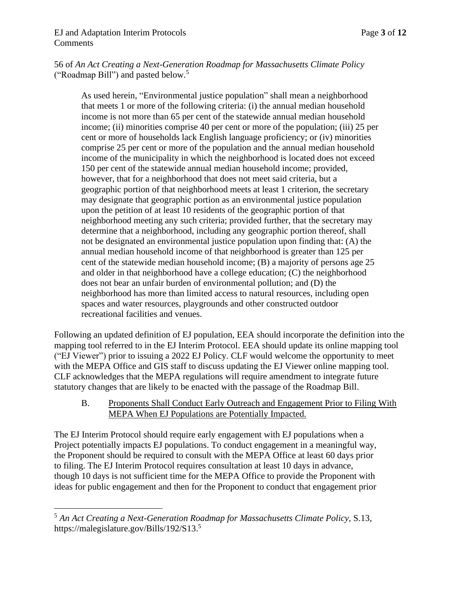56 of *An Act Creating a Next-Generation Roadmap for Massachusetts Climate Policy* ("Roadmap Bill") and pasted below. 5

As used herein, "Environmental justice population" shall mean a neighborhood that meets 1 or more of the following criteria: (i) the annual median household income is not more than 65 per cent of the statewide annual median household income; (ii) minorities comprise 40 per cent or more of the population; (iii) 25 per cent or more of households lack English language proficiency; or (iv) minorities comprise 25 per cent or more of the population and the annual median household income of the municipality in which the neighborhood is located does not exceed 150 per cent of the statewide annual median household income; provided, however, that for a neighborhood that does not meet said criteria, but a geographic portion of that neighborhood meets at least 1 criterion, the secretary may designate that geographic portion as an environmental justice population upon the petition of at least 10 residents of the geographic portion of that neighborhood meeting any such criteria; provided further, that the secretary may determine that a neighborhood, including any geographic portion thereof, shall not be designated an environmental justice population upon finding that: (A) the annual median household income of that neighborhood is greater than 125 per cent of the statewide median household income; (B) a majority of persons age 25 and older in that neighborhood have a college education; (C) the neighborhood does not bear an unfair burden of environmental pollution; and (D) the neighborhood has more than limited access to natural resources, including open spaces and water resources, playgrounds and other constructed outdoor recreational facilities and venues.

Following an updated definition of EJ population, EEA should incorporate the definition into the mapping tool referred to in the EJ Interim Protocol. EEA should update its online mapping tool ("EJ Viewer") prior to issuing a 2022 EJ Policy. CLF would welcome the opportunity to meet with the MEPA Office and GIS staff to discuss updating the EJ Viewer online mapping tool. CLF acknowledges that the MEPA regulations will require amendment to integrate future statutory changes that are likely to be enacted with the passage of the Roadmap Bill.

B. Proponents Shall Conduct Early Outreach and Engagement Prior to Filing With MEPA When EJ Populations are Potentially Impacted.

The EJ Interim Protocol should require early engagement with EJ populations when a Project potentially impacts EJ populations. To conduct engagement in a meaningful way, the Proponent should be required to consult with the MEPA Office at least 60 days prior to filing. The EJ Interim Protocol requires consultation at least 10 days in advance, though 10 days is not sufficient time for the MEPA Office to provide the Proponent with ideas for public engagement and then for the Proponent to conduct that engagement prior

<sup>5</sup> *An Act Creating a Next-Generation Roadmap for Massachusetts Climate Policy,* S.13, https://malegislature.gov/Bills/192/S13.<sup>5</sup>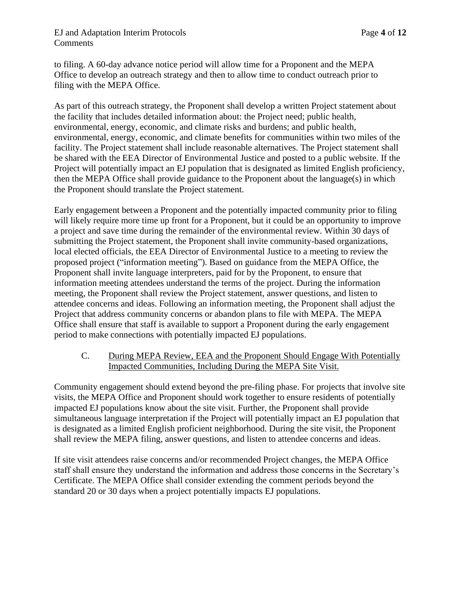### EJ and Adaptation Interim Protocols Page **4** of **12 Comments**

to filing. A 60-day advance notice period will allow time for a Proponent and the MEPA Office to develop an outreach strategy and then to allow time to conduct outreach prior to filing with the MEPA Office.

As part of this outreach strategy, the Proponent shall develop a written Project statement about the facility that includes detailed information about: the Project need; public health, environmental, energy, economic, and climate risks and burdens; and public health, environmental, energy, economic, and climate benefits for communities within two miles of the facility. The Project statement shall include reasonable alternatives. The Project statement shall be shared with the EEA Director of Environmental Justice and posted to a public website. If the Project will potentially impact an EJ population that is designated as limited English proficiency, then the MEPA Office shall provide guidance to the Proponent about the language(s) in which the Proponent should translate the Project statement.

Early engagement between a Proponent and the potentially impacted community prior to filing will likely require more time up front for a Proponent, but it could be an opportunity to improve a project and save time during the remainder of the environmental review. Within 30 days of submitting the Project statement, the Proponent shall invite community-based organizations, local elected officials, the EEA Director of Environmental Justice to a meeting to review the proposed project ("information meeting"). Based on guidance from the MEPA Office, the Proponent shall invite language interpreters, paid for by the Proponent, to ensure that information meeting attendees understand the terms of the project. During the information meeting, the Proponent shall review the Project statement, answer questions, and listen to attendee concerns and ideas. Following an information meeting, the Proponent shall adjust the Project that address community concerns or abandon plans to file with MEPA. The MEPA Office shall ensure that staff is available to support a Proponent during the early engagement period to make connections with potentially impacted EJ populations.

## C. During MEPA Review, EEA and the Proponent Should Engage With Potentially Impacted Communities, Including During the MEPA Site Visit.

Community engagement should extend beyond the pre-filing phase. For projects that involve site visits, the MEPA Office and Proponent should work together to ensure residents of potentially impacted EJ populations know about the site visit. Further, the Proponent shall provide simultaneous language interpretation if the Project will potentially impact an EJ population that is designated as a limited English proficient neighborhood. During the site visit, the Proponent shall review the MEPA filing, answer questions, and listen to attendee concerns and ideas.

If site visit attendees raise concerns and/or recommended Project changes, the MEPA Office staff shall ensure they understand the information and address those concerns in the Secretary's Certificate. The MEPA Office shall consider extending the comment periods beyond the standard 20 or 30 days when a project potentially impacts EJ populations.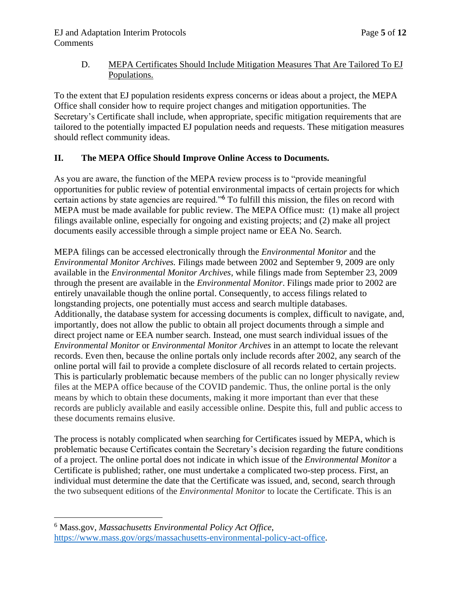# D. MEPA Certificates Should Include Mitigation Measures That Are Tailored To EJ Populations.

To the extent that EJ population residents express concerns or ideas about a project, the MEPA Office shall consider how to require project changes and mitigation opportunities. The Secretary's Certificate shall include, when appropriate, specific mitigation requirements that are tailored to the potentially impacted EJ population needs and requests. These mitigation measures should reflect community ideas.

# **II. The MEPA Office Should Improve Online Access to Documents.**

As you are aware, the function of the MEPA review process is to "provide meaningful opportunities for public review of potential environmental impacts of certain projects for which certain actions by state agencies are required."<sup>6</sup> To fulfill this mission, the files on record with MEPA must be made available for public review. The MEPA Office must: (1) make all project filings available online, especially for ongoing and existing projects; and (2) make all project documents easily accessible through a simple project name or EEA No. Search.

MEPA filings can be accessed electronically through the *Environmental Monitor* and the *Environmental Monitor Archives.* Filings made between 2002 and September 9, 2009 are only available in the *Environmental Monitor Archives*, while filings made from September 23, 2009 through the present are available in the *Environmental Monitor*. Filings made prior to 2002 are entirely unavailable though the online portal. Consequently, to access filings related to longstanding projects, one potentially must access and search multiple databases. Additionally, the database system for accessing documents is complex, difficult to navigate, and, importantly, does not allow the public to obtain all project documents through a simple and direct project name or EEA number search. Instead, one must search individual issues of the *Environmental Monitor* or *Environmental Monitor Archives* in an attempt to locate the relevant records. Even then, because the online portals only include records after 2002, any search of the online portal will fail to provide a complete disclosure of all records related to certain projects. This is particularly problematic because members of the public can no longer physically review files at the MEPA office because of the COVID pandemic. Thus, the online portal is the only means by which to obtain these documents, making it more important than ever that these records are publicly available and easily accessible online. Despite this, full and public access to these documents remains elusive.

The process is notably complicated when searching for Certificates issued by MEPA, which is problematic because Certificates contain the Secretary's decision regarding the future conditions of a project. The online portal does not indicate in which issue of the *Environmental Monitor* a Certificate is published; rather, one must undertake a complicated two-step process. First, an individual must determine the date that the Certificate was issued, and, second, search through the two subsequent editions of the *Environmental Monitor* to locate the Certificate. This is an

<sup>6</sup> Mass.gov, *Massachusetts Environmental Policy Act Office*, [https://www.mass.gov/orgs/massachusetts-environmental-policy-act-office.](https://www.mass.gov/orgs/massachusetts-environmental-policy-act-office)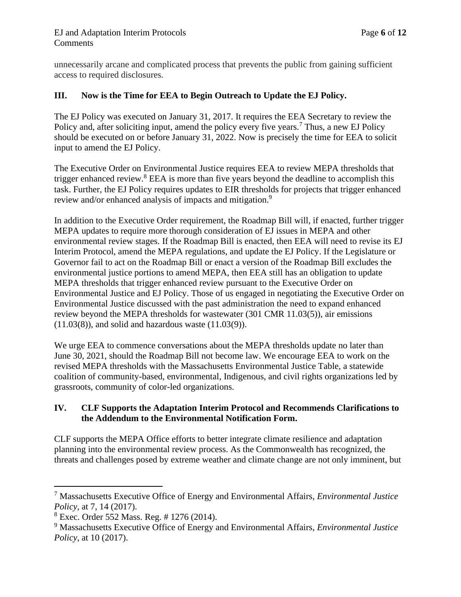unnecessarily arcane and complicated process that prevents the public from gaining sufficient access to required disclosures.

## **III. Now is the Time for EEA to Begin Outreach to Update the EJ Policy.**

The EJ Policy was executed on January 31, 2017. It requires the EEA Secretary to review the Policy and, after soliciting input, amend the policy every five years.<sup>7</sup> Thus, a new EJ Policy should be executed on or before January 31, 2022. Now is precisely the time for EEA to solicit input to amend the EJ Policy.

The Executive Order on Environmental Justice requires EEA to review MEPA thresholds that trigger enhanced review.<sup>8</sup> EEA is more than five years beyond the deadline to accomplish this task. Further, the EJ Policy requires updates to EIR thresholds for projects that trigger enhanced review and/or enhanced analysis of impacts and mitigation.<sup>9</sup>

In addition to the Executive Order requirement, the Roadmap Bill will, if enacted, further trigger MEPA updates to require more thorough consideration of EJ issues in MEPA and other environmental review stages. If the Roadmap Bill is enacted, then EEA will need to revise its EJ Interim Protocol, amend the MEPA regulations, and update the EJ Policy. If the Legislature or Governor fail to act on the Roadmap Bill or enact a version of the Roadmap Bill excludes the environmental justice portions to amend MEPA, then EEA still has an obligation to update MEPA thresholds that trigger enhanced review pursuant to the Executive Order on Environmental Justice and EJ Policy. Those of us engaged in negotiating the Executive Order on Environmental Justice discussed with the past administration the need to expand enhanced review beyond the MEPA thresholds for wastewater (301 CMR 11.03(5)), air emissions  $(11.03(8))$ , and solid and hazardous waste  $(11.03(9))$ .

We urge EEA to commence conversations about the MEPA thresholds update no later than June 30, 2021, should the Roadmap Bill not become law. We encourage EEA to work on the revised MEPA thresholds with the Massachusetts Environmental Justice Table, a statewide coalition of community-based, environmental, Indigenous, and civil rights organizations led by grassroots, community of color-led organizations.

#### **IV. CLF Supports the Adaptation Interim Protocol and Recommends Clarifications to the Addendum to the Environmental Notification Form.**

CLF supports the MEPA Office efforts to better integrate climate resilience and adaptation planning into the environmental review process. As the Commonwealth has recognized, the threats and challenges posed by extreme weather and climate change are not only imminent, but

<sup>7</sup> Massachusetts Executive Office of Energy and Environmental Affairs, *Environmental Justice Policy*, at 7, 14 (2017).

 $8$  Exec. Order 552 Mass. Reg. # 1276 (2014).

<sup>9</sup> Massachusetts Executive Office of Energy and Environmental Affairs, *Environmental Justice Policy*, at 10 (2017).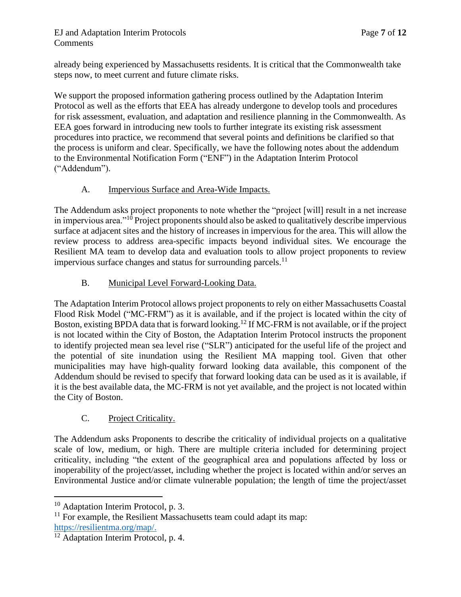### EJ and Adaptation Interim Protocols Page **7** of **12 Comments**

already being experienced by Massachusetts residents. It is critical that the Commonwealth take steps now, to meet current and future climate risks.

We support the proposed information gathering process outlined by the Adaptation Interim Protocol as well as the efforts that EEA has already undergone to develop tools and procedures for risk assessment, evaluation, and adaptation and resilience planning in the Commonwealth. As EEA goes forward in introducing new tools to further integrate its existing risk assessment procedures into practice, we recommend that several points and definitions be clarified so that the process is uniform and clear. Specifically, we have the following notes about the addendum to the Environmental Notification Form ("ENF") in the Adaptation Interim Protocol ("Addendum").

# A. Impervious Surface and Area-Wide Impacts.

The Addendum asks project proponents to note whether the "project [will] result in a net increase in impervious area. $10^{\circ}$  Project proponents should also be asked to qualitatively describe impervious surface at adjacent sites and the history of increases in impervious for the area. This will allow the review process to address area-specific impacts beyond individual sites. We encourage the Resilient MA team to develop data and evaluation tools to allow project proponents to review impervious surface changes and status for surrounding parcels.<sup>11</sup>

# B. Municipal Level Forward-Looking Data.

The Adaptation Interim Protocol allows project proponents to rely on either Massachusetts Coastal Flood Risk Model ("MC-FRM") as it is available, and if the project is located within the city of Boston, existing BPDA data that is forward looking.<sup>12</sup> If MC-FRM is not available, or if the project is not located within the City of Boston, the Adaptation Interim Protocol instructs the proponent to identify projected mean sea level rise ("SLR") anticipated for the useful life of the project and the potential of site inundation using the Resilient MA mapping tool. Given that other municipalities may have high-quality forward looking data available, this component of the Addendum should be revised to specify that forward looking data can be used as it is available, if it is the best available data, the MC-FRM is not yet available, and the project is not located within the City of Boston.

# C. Project Criticality.

The Addendum asks Proponents to describe the criticality of individual projects on a qualitative scale of low, medium, or high. There are multiple criteria included for determining project criticality, including "the extent of the geographical area and populations affected by loss or inoperability of the project/asset, including whether the project is located within and/or serves an Environmental Justice and/or climate vulnerable population; the length of time the project/asset

<sup>&</sup>lt;sup>10</sup> Adaptation Interim Protocol, p. 3.

 $11$  For example, the Resilient Massachusetts team could adapt its map: [https://resilientma.org/map/.](https://resilientma.org/map/)

<sup>&</sup>lt;sup>12</sup> Adaptation Interim Protocol, p. 4.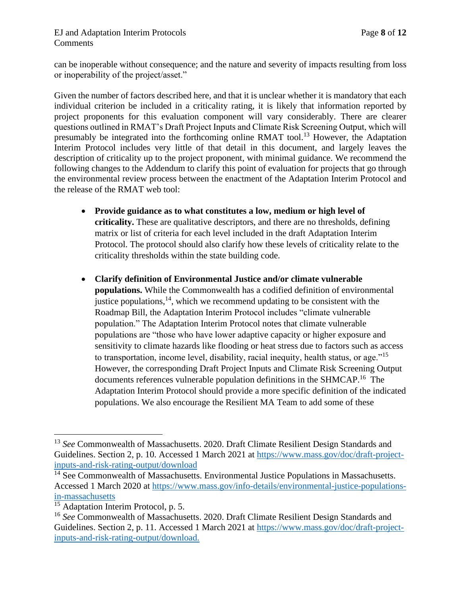### EJ and Adaptation Interim Protocols Page **8** of **12 Comments**

can be inoperable without consequence; and the nature and severity of impacts resulting from loss or inoperability of the project/asset."

Given the number of factors described here, and that it is unclear whether it is mandatory that each individual criterion be included in a criticality rating, it is likely that information reported by project proponents for this evaluation component will vary considerably. There are clearer questions outlined in RMAT's Draft Project Inputs and Climate Risk Screening Output, which will presumably be integrated into the forthcoming online RMAT tool.<sup>13</sup> However, the Adaptation Interim Protocol includes very little of that detail in this document, and largely leaves the description of criticality up to the project proponent, with minimal guidance. We recommend the following changes to the Addendum to clarify this point of evaluation for projects that go through the environmental review process between the enactment of the Adaptation Interim Protocol and the release of the RMAT web tool:

- **Provide guidance as to what constitutes a low, medium or high level of criticality.** These are qualitative descriptors, and there are no thresholds, defining matrix or list of criteria for each level included in the draft Adaptation Interim Protocol. The protocol should also clarify how these levels of criticality relate to the criticality thresholds within the state building code.
- **Clarify definition of Environmental Justice and/or climate vulnerable populations.** While the Commonwealth has a codified definition of environmental justice populations,  $^{14}$ , which we recommend updating to be consistent with the Roadmap Bill, the Adaptation Interim Protocol includes "climate vulnerable population." The Adaptation Interim Protocol notes that climate vulnerable populations are "those who have lower adaptive capacity or higher exposure and sensitivity to climate hazards like flooding or heat stress due to factors such as access to transportation, income level, disability, racial inequity, health status, or age."<sup>15</sup> However, the corresponding Draft Project Inputs and Climate Risk Screening Output documents references vulnerable population definitions in the SHMCAP.<sup>16</sup> The Adaptation Interim Protocol should provide a more specific definition of the indicated populations. We also encourage the Resilient MA Team to add some of these

<sup>13</sup> *See* Commonwealth of Massachusetts. 2020. Draft Climate Resilient Design Standards and Guidelines. Section 2, p. 10. Accessed 1 March 2021 at [https://www.mass.gov/doc/draft-project](https://www.mass.gov/doc/draft-project-inputs-and-risk-rating-output/download)[inputs-and-risk-rating-output/download](https://www.mass.gov/doc/draft-project-inputs-and-risk-rating-output/download)

<sup>&</sup>lt;sup>14</sup> See Commonwealth of Massachusetts. Environmental Justice Populations in Massachusetts. Accessed 1 March 2020 at [https://www.mass.gov/info-details/environmental-justice-populations](https://www.mass.gov/info-details/environmental-justice-populations-in-massachusetts)[in-massachusetts](https://www.mass.gov/info-details/environmental-justice-populations-in-massachusetts)

<sup>&</sup>lt;sup>15</sup> Adaptation Interim Protocol, p. 5.

<sup>16</sup> *See* Commonwealth of Massachusetts. 2020. Draft Climate Resilient Design Standards and Guidelines. Section 2, p. 11. Accessed 1 March 2021 at [https://www.mass.gov/doc/draft-project](https://www.mass.gov/doc/draft-project-inputs-and-risk-rating-output/download)[inputs-and-risk-rating-output/download.](https://www.mass.gov/doc/draft-project-inputs-and-risk-rating-output/download)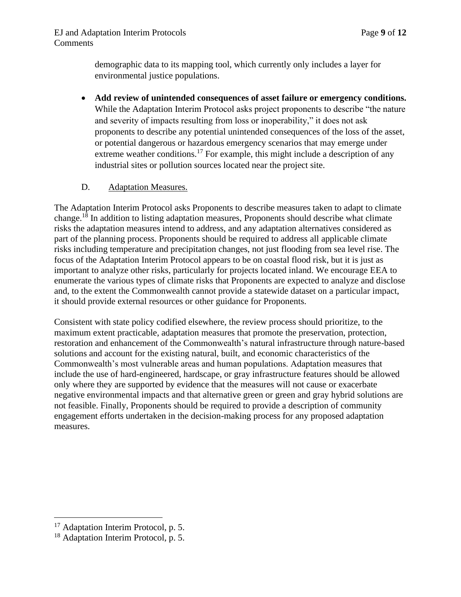demographic data to its mapping tool, which currently only includes a layer for environmental justice populations.

• **Add review of unintended consequences of asset failure or emergency conditions.**  While the Adaptation Interim Protocol asks project proponents to describe "the nature and severity of impacts resulting from loss or inoperability," it does not ask proponents to describe any potential unintended consequences of the loss of the asset, or potential dangerous or hazardous emergency scenarios that may emerge under extreme weather conditions.<sup>17</sup> For example, this might include a description of any industrial sites or pollution sources located near the project site.

# D. Adaptation Measures.

The Adaptation Interim Protocol asks Proponents to describe measures taken to adapt to climate change.<sup>18</sup> In addition to listing adaptation measures, Proponents should describe what climate risks the adaptation measures intend to address, and any adaptation alternatives considered as part of the planning process. Proponents should be required to address all applicable climate risks including temperature and precipitation changes, not just flooding from sea level rise. The focus of the Adaptation Interim Protocol appears to be on coastal flood risk, but it is just as important to analyze other risks, particularly for projects located inland. We encourage EEA to enumerate the various types of climate risks that Proponents are expected to analyze and disclose and, to the extent the Commonwealth cannot provide a statewide dataset on a particular impact, it should provide external resources or other guidance for Proponents.

Consistent with state policy codified elsewhere, the review process should prioritize, to the maximum extent practicable, adaptation measures that promote the preservation, protection, restoration and enhancement of the Commonwealth's natural infrastructure through nature-based solutions and account for the existing natural, built, and economic characteristics of the Commonwealth's most vulnerable areas and human populations. Adaptation measures that include the use of hard-engineered, hardscape, or gray infrastructure features should be allowed only where they are supported by evidence that the measures will not cause or exacerbate negative environmental impacts and that alternative green or green and gray hybrid solutions are not feasible. Finally, Proponents should be required to provide a description of community engagement efforts undertaken in the decision-making process for any proposed adaptation measures.

<sup>&</sup>lt;sup>17</sup> Adaptation Interim Protocol, p. 5.

<sup>&</sup>lt;sup>18</sup> Adaptation Interim Protocol, p. 5.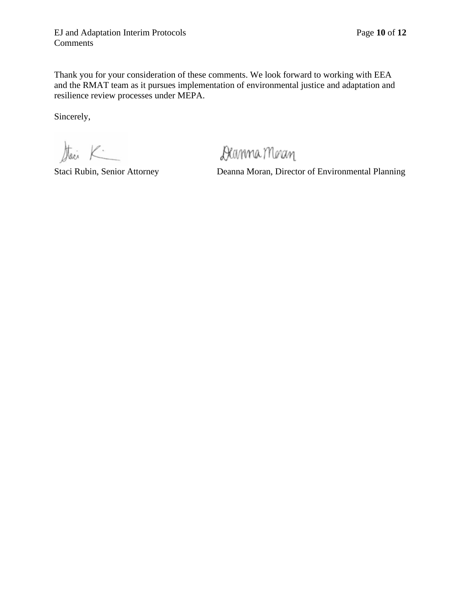Thank you for your consideration of these comments. We look forward to working with EEA and the RMAT team as it pursues implementation of environmental justice and adaptation and resilience review processes under MEPA.

Sincerely,

Stari K

Deanma Moran

Staci Rubin, Senior Attorney Deanna Moran, Director of Environmental Planning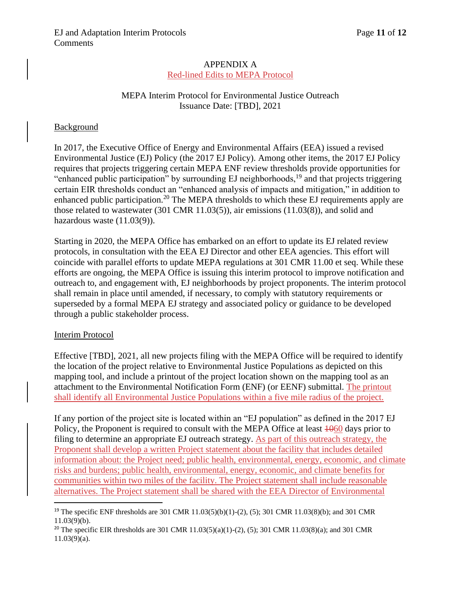### APPENDIX A Red-lined Edits to MEPA Protocol

## MEPA Interim Protocol for Environmental Justice Outreach Issuance Date: [TBD], 2021

### **Background**

In 2017, the Executive Office of Energy and Environmental Affairs (EEA) issued a revised Environmental Justice (EJ) Policy (the 2017 EJ Policy). Among other items, the 2017 EJ Policy requires that projects triggering certain MEPA ENF review thresholds provide opportunities for "enhanced public participation" by surrounding EJ neighborhoods,<sup>19</sup> and that projects triggering certain EIR thresholds conduct an "enhanced analysis of impacts and mitigation," in addition to enhanced public participation.<sup>20</sup> The MEPA thresholds to which these EJ requirements apply are those related to wastewater (301 CMR 11.03(5)), air emissions (11.03(8)), and solid and hazardous waste (11.03(9)).

Starting in 2020, the MEPA Office has embarked on an effort to update its EJ related review protocols, in consultation with the EEA EJ Director and other EEA agencies. This effort will coincide with parallel efforts to update MEPA regulations at 301 CMR 11.00 et seq. While these efforts are ongoing, the MEPA Office is issuing this interim protocol to improve notification and outreach to, and engagement with, EJ neighborhoods by project proponents. The interim protocol shall remain in place until amended, if necessary, to comply with statutory requirements or superseded by a formal MEPA EJ strategy and associated policy or guidance to be developed through a public stakeholder process.

#### Interim Protocol

Effective [TBD], 2021, all new projects filing with the MEPA Office will be required to identify the location of the project relative to Environmental Justice Populations as depicted on this mapping tool, and include a printout of the project location shown on the mapping tool as an attachment to the Environmental Notification Form (ENF) (or EENF) submittal. The printout shall identify all Environmental Justice Populations within a five mile radius of the project.

If any portion of the project site is located within an "EJ population" as defined in the 2017 EJ Policy, the Proponent is required to consult with the MEPA Office at least  $\frac{1060}{1000}$  days prior to filing to determine an appropriate EJ outreach strategy. As part of this outreach strategy, the Proponent shall develop a written Project statement about the facility that includes detailed information about: the Project need; public health, environmental, energy, economic, and climate risks and burdens; public health, environmental, energy, economic, and climate benefits for communities within two miles of the facility. The Project statement shall include reasonable alternatives. The Project statement shall be shared with the EEA Director of Environmental

<sup>&</sup>lt;sup>19</sup> The specific ENF thresholds are 301 CMR 11.03(5)(b)(1)-(2), (5); 301 CMR 11.03(8)(b); and 301 CMR  $11.03(9)(b)$ .

<sup>&</sup>lt;sup>20</sup> The specific EIR thresholds are 301 CMR 11.03(5)(a)(1)-(2), (5); 301 CMR 11.03(8)(a); and 301 CMR 11.03(9)(a).